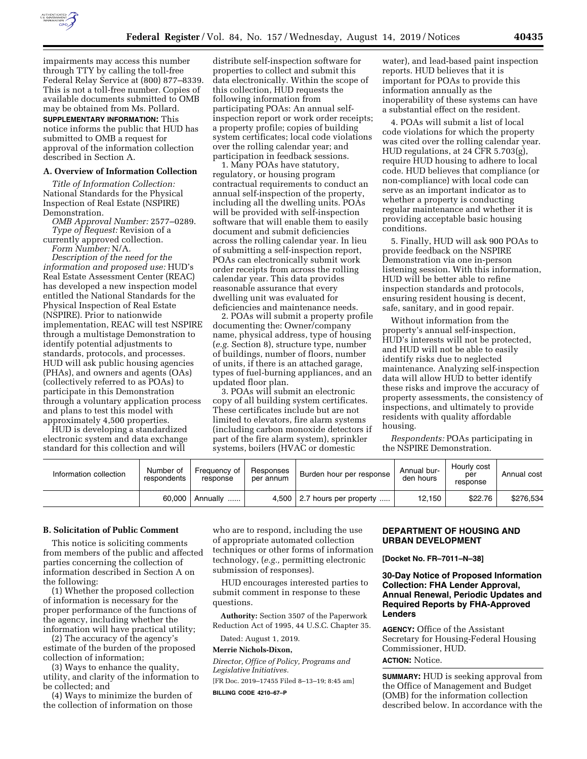

impairments may access this number through TTY by calling the toll-free Federal Relay Service at (800) 877–8339. This is not a toll-free number. Copies of available documents submitted to OMB may be obtained from Ms. Pollard.

**SUPPLEMENTARY INFORMATION:** This notice informs the public that HUD has submitted to OMB a request for approval of the information collection described in Section A.

#### **A. Overview of Information Collection**

*Title of Information Collection:*  National Standards for the Physical Inspection of Real Estate (NSPIRE) Demonstration.

*OMB Approval Number:* 2577–0289. *Type of Request:* Revision of a currently approved collection.

*Form Number:* N/A.

*Description of the need for the information and proposed use:* HUD's Real Estate Assessment Center (REAC) has developed a new inspection model entitled the National Standards for the Physical Inspection of Real Estate (NSPIRE). Prior to nationwide implementation, REAC will test NSPIRE through a multistage Demonstration to identify potential adjustments to standards, protocols, and processes. HUD will ask public housing agencies (PHAs), and owners and agents (OAs) (collectively referred to as POAs) to participate in this Demonstration through a voluntary application process and plans to test this model with approximately 4,500 properties.

HUD is developing a standardized electronic system and data exchange standard for this collection and will

distribute self-inspection software for properties to collect and submit this data electronically. Within the scope of this collection, HUD requests the following information from participating POAs: An annual selfinspection report or work order receipts; a property profile; copies of building system certificates; local code violations over the rolling calendar year; and participation in feedback sessions.

1. Many POAs have statutory, regulatory, or housing program contractual requirements to conduct an annual self-inspection of the property, including all the dwelling units. POAs will be provided with self-inspection software that will enable them to easily document and submit deficiencies across the rolling calendar year. In lieu of submitting a self-inspection report, POAs can electronically submit work order receipts from across the rolling calendar year. This data provides reasonable assurance that every dwelling unit was evaluated for deficiencies and maintenance needs.

2. POAs will submit a property profile documenting the: Owner/company name, physical address, type of housing (*e.g.* Section 8), structure type, number of buildings, number of floors, number of units, if there is an attached garage, types of fuel-burning appliances, and an updated floor plan.

3. POAs will submit an electronic copy of all building system certificates. These certificates include but are not limited to elevators, fire alarm systems (including carbon monoxide detectors if part of the fire alarm system), sprinkler systems, boilers (HVAC or domestic

water), and lead-based paint inspection reports. HUD believes that it is important for POAs to provide this information annually as the inoperability of these systems can have a substantial effect on the resident.

4. POAs will submit a list of local code violations for which the property was cited over the rolling calendar year. HUD regulations, at 24 CFR 5.703(g), require HUD housing to adhere to local code. HUD believes that compliance (or non-compliance) with local code can serve as an important indicator as to whether a property is conducting regular maintenance and whether it is providing acceptable basic housing conditions.

5. Finally, HUD will ask 900 POAs to provide feedback on the NSPIRE Demonstration via one in-person listening session. With this information, HUD will be better able to refine inspection standards and protocols, ensuring resident housing is decent, safe, sanitary, and in good repair.

Without information from the property's annual self-inspection, HUD's interests will not be protected, and HUD will not be able to easily identify risks due to neglected maintenance. Analyzing self-inspection data will allow HUD to better identify these risks and improve the accuracy of property assessments, the consistency of inspections, and ultimately to provide residents with quality affordable housing.

*Respondents:* POAs participating in the NSPIRE Demonstration.

| Information collection | Number of<br>respondents | Frequency of I<br>response | Responses<br>per annum | Burden hour per response         | Annual bur-<br>den hours | Hourly cost<br>per<br>response | Annual cost |
|------------------------|--------------------------|----------------------------|------------------------|----------------------------------|--------------------------|--------------------------------|-------------|
|                        | 60.000                   | Annually<br>               |                        | $4,500$   2.7 hours per property | 12.150                   | \$22.76                        | \$276.534   |

#### **B. Solicitation of Public Comment**

This notice is soliciting comments from members of the public and affected parties concerning the collection of information described in Section A on the following:

(1) Whether the proposed collection of information is necessary for the proper performance of the functions of the agency, including whether the information will have practical utility;

(2) The accuracy of the agency's estimate of the burden of the proposed collection of information;

(3) Ways to enhance the quality, utility, and clarity of the information to be collected; and

(4) Ways to minimize the burden of the collection of information on those who are to respond, including the use of appropriate automated collection techniques or other forms of information technology, (*e.g.,* permitting electronic submission of responses).

HUD encourages interested parties to submit comment in response to these questions.

**Authority:** Section 3507 of the Paperwork Reduction Act of 1995, 44 U.S.C. Chapter 35.

Dated: August 1, 2019.

#### **Merrie Nichols-Dixon,**

*Director, Office of Policy, Programs and Legislative Initiatives.* 

[FR Doc. 2019–17455 Filed 8–13–19; 8:45 am]

**BILLING CODE 4210–67–P** 

## **DEPARTMENT OF HOUSING AND URBAN DEVELOPMENT**

**[Docket No. FR–7011–N–38]** 

#### **30-Day Notice of Proposed Information Collection: FHA Lender Approval, Annual Renewal, Periodic Updates and Required Reports by FHA-Approved Lenders**

**AGENCY:** Office of the Assistant Secretary for Housing-Federal Housing Commissioner, HUD.

## **ACTION:** Notice.

**SUMMARY:** HUD is seeking approval from the Office of Management and Budget (OMB) for the information collection described below. In accordance with the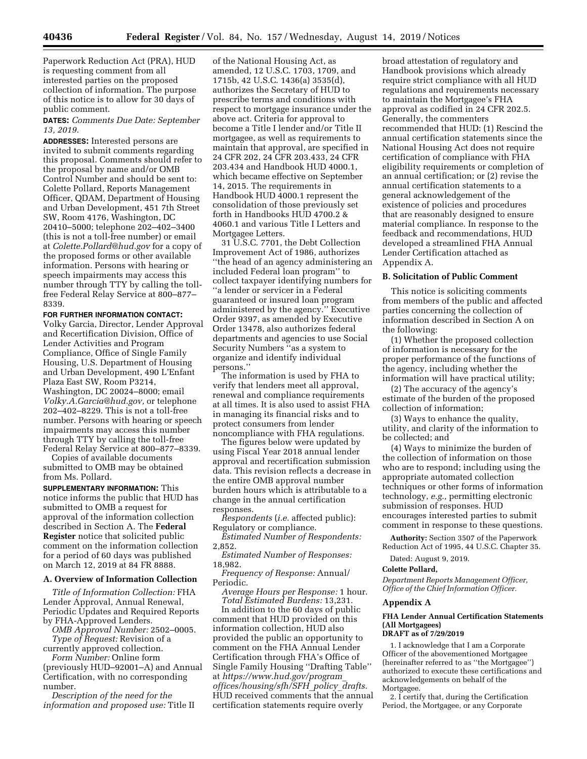Paperwork Reduction Act (PRA), HUD is requesting comment from all interested parties on the proposed collection of information. The purpose of this notice is to allow for 30 days of public comment.

**DATES:** *Comments Due Date: September 13, 2019.* 

**ADDRESSES:** Interested persons are invited to submit comments regarding this proposal. Comments should refer to the proposal by name and/or OMB Control Number and should be sent to: Colette Pollard, Reports Management Officer, QDAM, Department of Housing and Urban Development, 451 7th Street SW, Room 4176, Washington, DC 20410–5000; telephone 202–402–3400 (this is not a toll-free number) or email at *[Colette.Pollard@hud.gov](mailto:Colette.Pollard@hud.gov)* for a copy of the proposed forms or other available information. Persons with hearing or speech impairments may access this number through TTY by calling the tollfree Federal Relay Service at 800–877– 8339.

**FOR FURTHER INFORMATION CONTACT:** 

Volky Garcia, Director, Lender Approval and Recertification Division, Office of Lender Activities and Program Compliance, Office of Single Family Housing, U.S. Department of Housing and Urban Development, 490 L'Enfant Plaza East SW, Room P3214, Washington, DC 20024–8000; email *[Volky.A.Garcia@hud.gov,](mailto:Volky.A.Garcia@hud.gov)* or telephone 202–402–8229. This is not a toll-free number. Persons with hearing or speech impairments may access this number through TTY by calling the toll-free Federal Relay Service at 800–877–8339.

Copies of available documents submitted to OMB may be obtained from Ms. Pollard.

**SUPPLEMENTARY INFORMATION:** This notice informs the public that HUD has submitted to OMB a request for approval of the information collection described in Section A. The **Federal Register** notice that solicited public comment on the information collection for a period of 60 days was published on March 12, 2019 at 84 FR 8888.

#### **A. Overview of Information Collection**

*Title of Information Collection:* FHA Lender Approval, Annual Renewal, Periodic Updates and Required Reports by FHA-Approved Lenders.

*OMB Approval Number:* 2502–0005. *Type of Request:* Revision of a

currently approved collection. *Form Number:* Online form

(previously HUD–92001–A) and Annual Certification, with no corresponding number.

*Description of the need for the information and proposed use:* Title II

of the National Housing Act, as amended, 12 U.S.C. 1703, 1709, and 1715b, 42 U.S.C. 1436(a) 3535(d), authorizes the Secretary of HUD to prescribe terms and conditions with respect to mortgage insurance under the above act. Criteria for approval to become a Title I lender and/or Title II mortgagee, as well as requirements to maintain that approval, are specified in 24 CFR 202, 24 CFR 203.433, 24 CFR 203.434 and Handbook HUD 4000.1, which became effective on September 14, 2015. The requirements in Handbook HUD 4000.1 represent the consolidation of those previously set forth in Handbooks HUD 4700.2 & 4060.1 and various Title I Letters and Mortgagee Letters.

31 U.S.C. 7701, the Debt Collection Improvement Act of 1986, authorizes ''the head of an agency administering an included Federal loan program'' to collect taxpayer identifying numbers for ''a lender or servicer in a Federal guaranteed or insured loan program administered by the agency.'' Executive Order 9397, as amended by Executive Order 13478, also authorizes federal departments and agencies to use Social Security Numbers ''as a system to organize and identify individual persons.''

The information is used by FHA to verify that lenders meet all approval, renewal and compliance requirements at all times. It is also used to assist FHA in managing its financial risks and to protect consumers from lender noncompliance with FHA regulations.

The figures below were updated by using Fiscal Year 2018 annual lender approval and recertification submission data. This revision reflects a decrease in the entire OMB approval number burden hours which is attributable to a change in the annual certification responses.

*Respondents* (*i.e.* affected public): Regulatory or compliance.

*Estimated Number of Respondents:*  2,852.

*Estimated Number of Responses:*  18,982.

*Frequency of Response:* Annual/ Periodic.

*Average Hours per Response:* 1 hour. *Total Estimated Burdens:* 13,231.

In addition to the 60 days of public comment that HUD provided on this information collection, HUD also provided the public an opportunity to comment on the FHA Annual Lender Certification through FHA's Office of Single Family Housing ''Drafting Table'' at *[https://www.hud.gov/program](https://www.hud.gov/program_offices/housing/sfh/SFH_policy_drafts)*\_ *[offices/housing/sfh/SFH](https://www.hud.gov/program_offices/housing/sfh/SFH_policy_drafts)*\_*policy*\_*drafts.*  HUD received comments that the annual certification statements require overly

broad attestation of regulatory and Handbook provisions which already require strict compliance with all HUD regulations and requirements necessary to maintain the Mortgagee's FHA approval as codified in 24 CFR 202.5. Generally, the commenters recommended that HUD: (1) Rescind the annual certification statements since the National Housing Act does not require certification of compliance with FHA eligibility requirements or completion of an annual certification; or (2) revise the annual certification statements to a general acknowledgement of the existence of policies and procedures that are reasonably designed to ensure material compliance. In response to the feedback and recommendations, HUD developed a streamlined FHA Annual Lender Certification attached as Appendix A.

#### **B. Solicitation of Public Comment**

This notice is soliciting comments from members of the public and affected parties concerning the collection of information described in Section A on the following:

(1) Whether the proposed collection of information is necessary for the proper performance of the functions of the agency, including whether the information will have practical utility;

(2) The accuracy of the agency's estimate of the burden of the proposed collection of information;

(3) Ways to enhance the quality, utility, and clarity of the information to be collected; and

(4) Ways to minimize the burden of the collection of information on those who are to respond; including using the appropriate automated collection techniques or other forms of information technology, *e.g.,* permitting electronic submission of responses. HUD encourages interested parties to submit comment in response to these questions.

**Authority:** Section 3507 of the Paperwork Reduction Act of 1995, 44 U.S.C. Chapter 35.

Dated: August 9, 2019.

## **Colette Pollard,**

*Department Reports Management Officer, Office of the Chief Information Officer.* 

## **Appendix A**

## **FHA Lender Annual Certification Statements (All Mortgagees)**

## **DRAFT as of 7/29/2019**

1. I acknowledge that I am a Corporate Officer of the abovementioned Mortgagee (hereinafter referred to as ''the Mortgagee'') authorized to execute these certifications and acknowledgements on behalf of the Mortgagee.

2. I certify that, during the Certification Period, the Mortgagee, or any Corporate